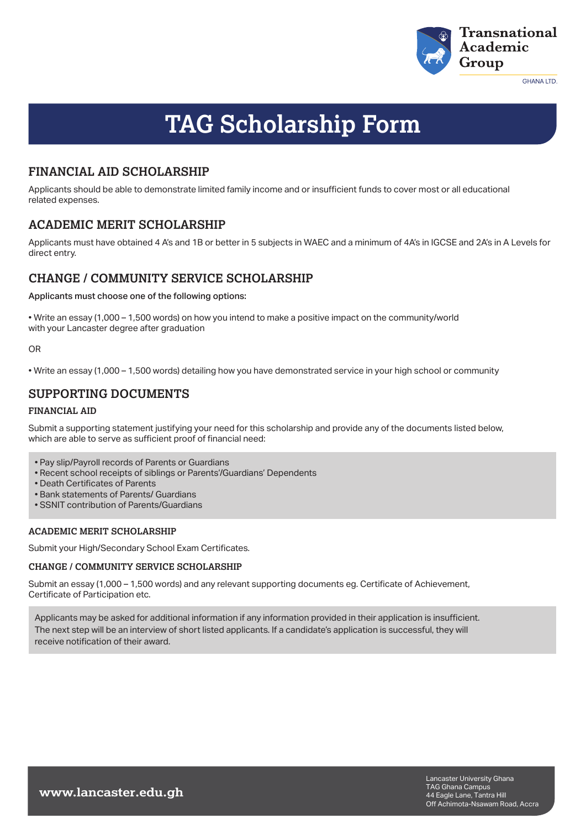

**GHANA LTD.** 

# **TAG Scholarship Form**

## **FINANCIAL AID SCHOLARSHIP**

Applicants should be able to demonstrate limited family income and or insufficient funds to cover most or all educational related expenses.

## **ACADEMIC MERIT SCHOLARSHIP**

Applicants must have obtained 4 A's and 1B or better in 5 subjects in WAEC and a minimum of 4A's in IGCSE and 2A's in A Levels for direct entry.

## **CHANGE / COMMUNITY SERVICE SCHOLARSHIP**

Applicants must choose one of the following options:

• Write an essay (1,000 – 1,500 words) on how you intend to make a positive impact on the community/world with your Lancaster degree after graduation

#### OR

• Write an essay (1,000 – 1,500 words) detailing how you have demonstrated service in your high school or community

## **SUPPORTING DOCUMENTS**

#### **FINANCIAL AID**

Submit a supporting statement justifying your need for this scholarship and provide any of the documents listed below. which are able to serve as sufficient proof of financial need:

- Pay slip/Payroll records of Parents or Guardians
- Recent school receipts of siblings or Parents'/Guardians' Dependents
- Death Certificates of Parents
- Bank statements of Parents/ Guardians
- SSNIT contribution of Parents/Guardians

#### **ACADEMIC MERIT SCHOLARSHIP**

Submit your High/Secondary School Exam Certificates.

### **CHANGE / COMMUNITY SERVICE SCHOLARSHIP**

Submit an essay (1,000 – 1,500 words) and any relevant supporting documents eg. Certificate of Achievement, Certificate of Participation etc.

Applicants may be asked for additional information if any information provided in their application is insufficient. The next step will be an interview of short listed applicants. If a candidate's application is successful, they will receive notification of their award.